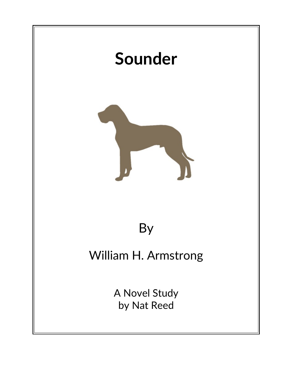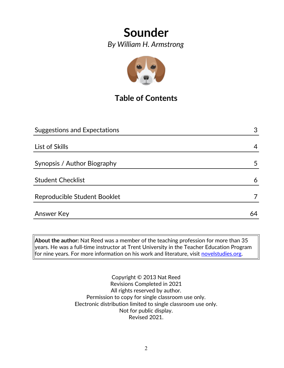*By William H. Armstrong*



# **Table of Contents**

| <b>Suggestions and Expectations</b> | 3  |
|-------------------------------------|----|
|                                     |    |
| List of Skills                      | 4  |
|                                     |    |
| Synopsis / Author Biography         | 5  |
|                                     |    |
| <b>Student Checklist</b>            | 6  |
| Reproducible Student Booklet        |    |
|                                     |    |
| <b>Answer Key</b>                   | 64 |

**About the author:** Nat Reed was a member of the teaching profession for more than 35 years. He was a full-time instructor at Trent University in the Teacher Education Program for nine years. For more information on his work and literature, visit [novelstudies.org.](http://www.novelstudies.org/)

> Copyright © 2013 Nat Reed Revisions Completed in 2021 All rights reserved by author. Permission to copy for single classroom use only. Electronic distribution limited to single classroom use only. Not for public display. Revised 2021.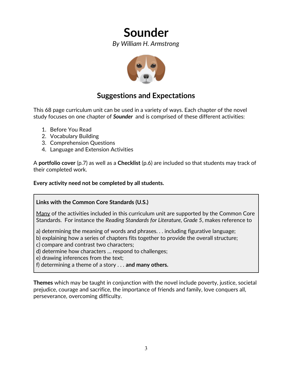*By William H. Armstrong*



## **Suggestions and Expectations**

This 68 page curriculum unit can be used in a variety of ways. Each chapter of the novel study focuses on one chapter of *Sounder* and is comprised of these different activities:

- 1. Before You Read
- 2. Vocabulary Building
- 3. Comprehension Questions
- 4. Language and Extension Activities

A **portfolio cover** (p.7) as well as a **Checklist** (p.6) are included so that students may track of their completed work.

**Every activity need not be completed by all students.** 

## **Links with the Common Core Standards (U.S.)**

Many of the activities included in this curriculum unit are supported by the Common Core Standards. For instance the *Reading Standards for Literature, Grade 5*, makes reference to

a) determining the meaning of words and phrases. . . including figurative language;

- b) explaining how a series of chapters fits together to provide the overall structure;
- c) compare and contrast two characters;
- d) determine how characters … respond to challenges;
- e) drawing inferences from the text;
- f) determining a theme of a story . . . **and many others.**

**Themes** which may be taught in conjunction with the novel include poverty, justice, societal prejudice, courage and sacrifice, the importance of friends and family, love conquers all, perseverance, overcoming difficulty.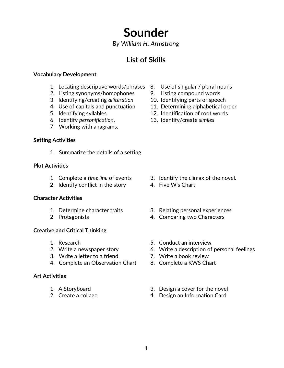*By William H. Armstrong*

# **List of Skills**

#### **Vocabulary Development**

- 1. Locating descriptive words/phrases 8. Use of singular / plural nouns
- 2. Listing synonyms/homophones 9. Listing compound words
- 3. Identifying/creating *alliteration* 10. Identifying parts of speech
- 
- 
- 6. Identify *personification*. 13. Identify/create *similes*
- 7. Working with anagrams.

#### **Setting Activities**

1. Summarize the details of a setting

#### **Plot Activities**

- 
- 2. Identify conflict in the story 4. Five W's Chart

### **Character Activities**

- 
- 

### **Creative and Critical Thinking**

- 
- 
- 3. Write a letter to a friend **7.** Write a book review
- 4. Complete an Observation Chart 8. Complete a KWS Chart

### **Art Activities**

- 
- 
- 
- 
- 
- 4. Use of capitals and punctuation 11. Determining alphabetical order
- 5. Identifying syllables 12. Identification of root words
	-

- 1. Complete a *time line* of events 3. Identify the climax of the novel.
	-
- 1. Determine character traits 3. Relating personal experiences
- 2. Protagonists 4. Comparing two Characters
- 1. Research 1. Research 1. Research 1. Research 1. Research 1. Research 1. Research 1. Research 1. Research 1.
- 2. Write a newspaper story 6. Write a description of personal feelings
	-
	-
- 1. A Storyboard 3. Design a cover for the novel
- 2. Create a collage 2. Create a collage  $\frac{4}{100}$ . Design an Information Card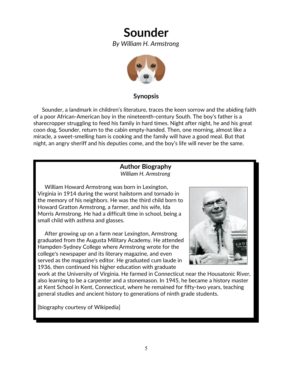*By William H. Armstrong*



## **Synopsis**

 Sounder, a landmark in children's literature, traces the keen sorrow and the abiding faith of a poor African-American boy in the nineteenth-century South. The boy's father is a sharecropper struggling to feed his family in hard times. Night after night, he and his great coon dog, Sounder, return to the cabin empty-handed. Then, one morning, almost like a miracle, a sweet-smelling ham is cooking and the family will have a good meal. But that night, an angry sheriff and his deputies come, and the boy's life will never be the same.

### **Author Biography** *William H. Armstrong*

 William Howard Armstrong was born in Lexington, Virginia in 1914 during the worst hailstorm and tornado in the memory of his neighbors. He was the third child born to Howard Gratton Armstrong, a farmer, and his wife, Ida Morris Armstrong. He had a difficult time in school, being a small child with asthma and glasses.

 After growing up on a farm near Lexington, Armstrong graduated from the Augusta Military Academy. He attended Hampden-Sydney College where Armstrong wrote for the college's newspaper and its literary magazine, and even served as the magazine's editor. He graduated cum laude in 1936, then continued his higher education with graduate



work at the University of Virginia. He farmed in Connecticut near the Housatonic River, also learning to be a carpenter and a stonemason. In 1945, he became a history master at Kent School in Kent, Connecticut, where he remained for fifty-two years, teaching general studies and ancient history to generations of ninth grade students.

[biography courtesy of Wikipedia]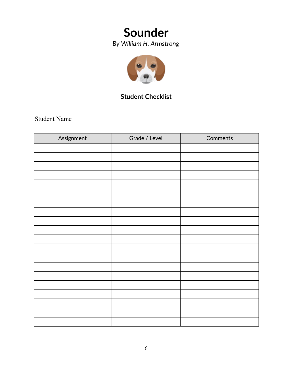*By William H. Armstrong*



## **Student Checklist**

Student Name

| Assignment | Grade / Level | Comments |
|------------|---------------|----------|
|            |               |          |
|            |               |          |
|            |               |          |
|            |               |          |
|            |               |          |
|            |               |          |
|            |               |          |
|            |               |          |
|            |               |          |
|            |               |          |
|            |               |          |
|            |               |          |
|            |               |          |
|            |               |          |
|            |               |          |
|            |               |          |
|            |               |          |
|            |               |          |
|            |               |          |
|            |               |          |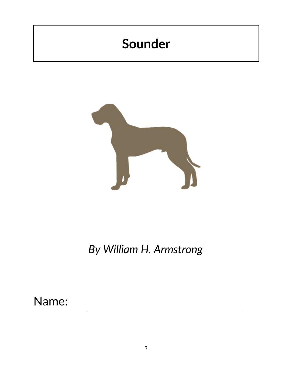

*By William H. Armstrong*

Name: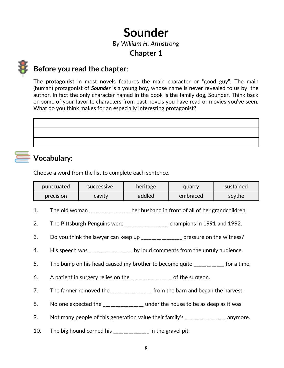*By William H. Armstrong*

## **Chapter 1**

## **Before you read the chapter**:

The **protagonist** in most novels features the main character or "good guy". The main (human) protagonist of *Sounder* is a young boy, whose name is never revealed to us by the author. In fact the only character named in the book is the family dog, Sounder. Think back on some of your favorite characters from past novels you have read or movies you've seen. What do you think makes for an especially interesting protagonist?

**Vocabulary:**

# Choose a word from the list to complete each sentence.

| punctuated | <b>SUCCESSIVE</b> | heritage | quarry   | sustained |
|------------|-------------------|----------|----------|-----------|
| precision  | cavity            | addled   | embraced | scythe    |
|            |                   |          |          |           |

- 1. The old woman her husband in front of all of her grandchildren.
- 2. The Pittsburgh Penguins were \_\_\_\_\_\_\_\_\_\_\_\_\_\_\_\_\_ champions in 1991 and 1992.
- 3. Do you think the lawyer can keep up \_\_\_\_\_\_\_\_\_\_\_\_\_\_\_\_ pressure on the witness?
- 4. His speech was \_\_\_\_\_\_\_\_\_\_\_\_\_\_\_\_\_ by loud comments from the unruly audience.
- 5. The bump on his head caused my brother to become quite \_\_\_\_\_\_\_\_\_\_\_\_ for a time.
- 6. A patient in surgery relies on the \_\_\_\_\_\_\_\_\_\_\_\_\_\_\_\_ of the surgeon.
- 7. The farmer removed the \_\_\_\_\_\_\_\_\_\_\_\_\_\_\_\_ from the barn and began the harvest.
- 8. No one expected the \_\_\_\_\_\_\_\_\_\_\_\_\_\_\_ under the house to be as deep as it was.
- 9. Not many people of this generation value their family's \_\_\_\_\_\_\_\_\_\_\_\_\_\_\_ anymore.
- 10. The big hound corned his \_\_\_\_\_\_\_\_\_\_\_\_\_\_ in the gravel pit.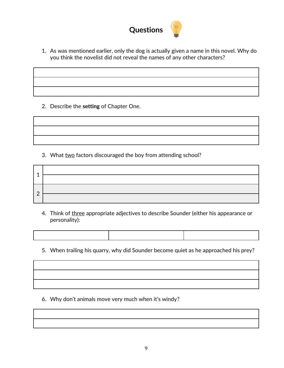

1. As was mentioned earlier, only the dog is actually given a name in this novel. Why do you think the novelist did not reveal the names of any other characters?

2. Describe the **setting** of Chapter One.

|  |  | 3. What two factors discouraged the boy from attending school? |
|--|--|----------------------------------------------------------------|
|  |  |                                                                |

| ◢             |                                                                                                                 |
|---------------|-----------------------------------------------------------------------------------------------------------------|
|               |                                                                                                                 |
|               | the contract of the contract of the contract of the contract of the contract of the contract of the contract of |
| $\mathcal{P}$ |                                                                                                                 |

- 4. Think of three appropriate adjectives to describe Sounder (either his appearance or personality):
- 5. When trailing his quarry, why did Sounder become quiet as he approached his prey?

6. Why don't animals move very much when it's windy?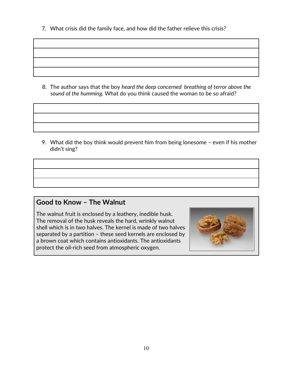7. What crisis did the family face, and how did the father relieve this crisis?

8. The author says that the boy *heard the deep concerned breathing of terror above the sound of the humming.* What do you think caused the woman to be so afraid?

9. What did the boy think would prevent him from being lonesome – even if his mother didn't sing?

## **Good to Know – The Walnut**

The walnut fruit is enclosed by a leathery, inedible husk. The removal of the husk reveals the hard, wrinkly walnut shell which is in two halves. The kernel is made of two halves separated by a partition – these seed kernels are enclosed by a brown coat which contains antioxidants. The antioxidants protect the oil-rich seed from atmospheric oxygen.

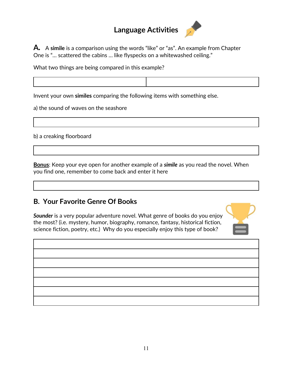# **Language Activities**



**A***.*<sup>A</sup>**simile** is a comparison using the words "like" or "as". An example from Chapter One is "… scattered the cabins … like flyspecks on a whitewashed ceiling."

What two things are being compared in this example?

Invent your own **similes** comparing the following items with something else.

a) the sound of waves on the seashore

b) a creaking floorboard

**Bonus**: Keep your eye open for another example of a *simile* as you read the novel. When you find one, remember to come back and enter it here

## **B. Your Favorite Genre Of Books**

*Sounder* is a very popular adventure novel. What genre of books do you enjoy the most? (i.e. mystery, humor, biography, romance, fantasy, historical fiction, science fiction, poetry, etc.) Why do you especially enjoy this type of book?



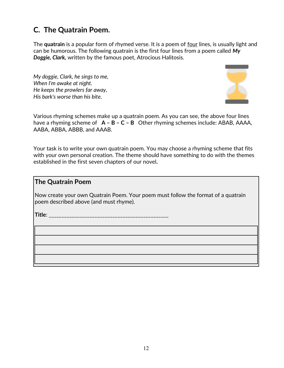# **C. The Quatrain Poem.**

The **quatrain** is a popular form of rhymed verse. It is a poem of four lines, is usually light and can be humorous. The following quatrain is the first four lines from a poem called *My Doggie, Clark,* written by the famous poet, Atrocious Halitosis.

*My doggie, Clark, he sings to me, When I'm awake at night. He keeps the prowlers far away, His bark's worse than his bite.*



Various rhyming schemes make up a quatrain poem. As you can see, the above four lines have a rhyming scheme of **A – B – C – B** Other rhyming schemes include: ABAB, AAAA, AABA, ABBA, ABBB, and AAAB.

Your task is to write your own quatrain poem. You may choose a rhyming scheme that fits with your own personal creation. The theme should have something to do with the themes established in the first seven chapters of our novel*.*

## **The Quatrain Poem**

Now create your own Quatrain Poem. Your poem must follow the format of a quatrain poem described above (and must rhyme).

**Title**: \_\_\_\_\_\_\_\_\_\_\_\_\_\_\_\_\_\_\_\_\_\_\_\_\_\_\_\_\_\_\_\_\_\_\_\_\_\_\_\_\_\_\_\_\_\_\_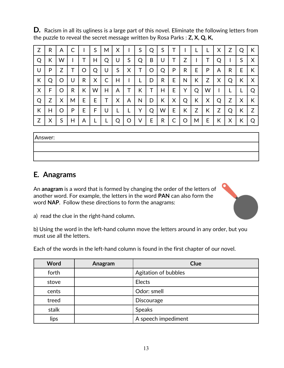**D***.* Racism in all its ugliness is a large part of this novel. Eliminate the following letters from the puzzle to reveal the secret message written by Rosa Parks : **Z, X, Q, K,** 

| Z | R | A | С |    | S | M | X |   | S | Q | S |    |   |   |   | X | Z | Q | К |
|---|---|---|---|----|---|---|---|---|---|---|---|----|---|---|---|---|---|---|---|
| Q | К | W |   |    | H | Q | U | S | Q | B | U | T  | Z |   | Τ | Q |   | S | X |
| U | P | Z |   | O  | Q | U | S | X | T | O | Q | P  | R | E | P | A | R | E | К |
| К | Q | O | U | R  | X | C | H |   |   | D | R | E. | N | К | Ζ | X | Q | К | X |
| X | F | O | R | К  | W | Н | A | т | К | Т | Н | E  | Υ | Q | W |   |   |   | O |
| Q | Z | X | Μ | E. | Е | T | X | A | N | D | К | X  | Q | К | X | Q | Z | X | К |
| К | Н | O | P | E  | F | U |   |   | Υ | Q | W | Е  | К | Z | К | Z | Q | К | Z |
| Z | Χ | S | Н | A  |   |   | Q | O | V | E | R | C  | O | M | E | К | X | К | O |

Answer:

## **E***.* **Anagrams**

An **anagram** is a word that is formed by changing the order of the letters of another word. For example, the letters in the word **PAN** can also form the word **NAP**. Follow these directions to form the anagrams:



a) read the clue in the right-hand column.

b) Using the word in the left-hand column move the letters around in any order, but you must use all the letters.

Each of the words in the left-hand column is found in the first chapter of our novel.

| <b>Word</b> | Anagram | Clue                 |
|-------------|---------|----------------------|
| forth       |         | Agitation of bubbles |
| stove       |         | Elects               |
| cents       |         | Odor: smell          |
| treed       |         | <b>Discourage</b>    |
| stalk       |         | <b>Speaks</b>        |
| lips        |         | A speech impediment  |